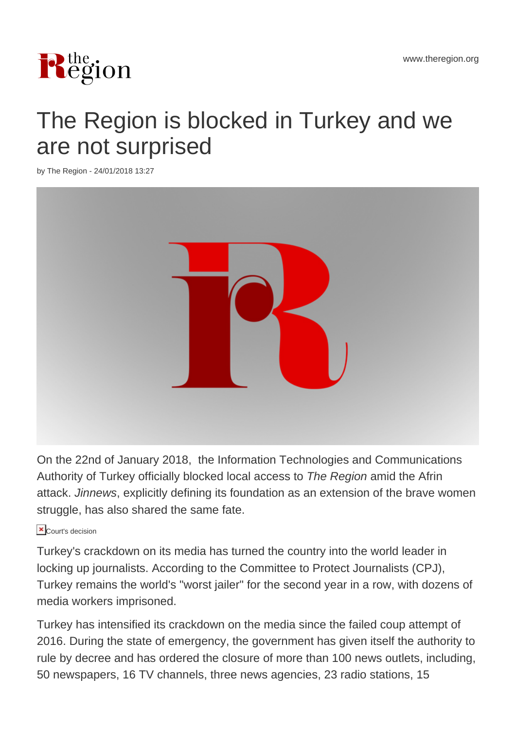

## The Region is blocked in Turkey and we are not surprised

by The Region - 24/01/2018 13:27



On the 22nd of January 2018, the Information Technologies and Communications Authority of Turkey officially blocked local access to The Region amid the Afrin attack. Jinnews, explicitly defining its foundation as an extension of the brave women struggle, has also shared the same fate.

## **X** Court's decision

Turkey's crackdown on its media has turned the country into the world leader in locking up journalists. According to the Committee to Protect Journalists (CPJ), Turkey remains the world's "worst jailer" for the second year in a row, with dozens of media workers imprisoned.

Turkey has intensified its crackdown on the media since the failed coup attempt of 2016. During the state of emergency, the government has given itself the authority to rule by decree and has ordered the closure of more than 100 news outlets, including, 50 newspapers, 16 TV channels, three news agencies, 23 radio stations, 15